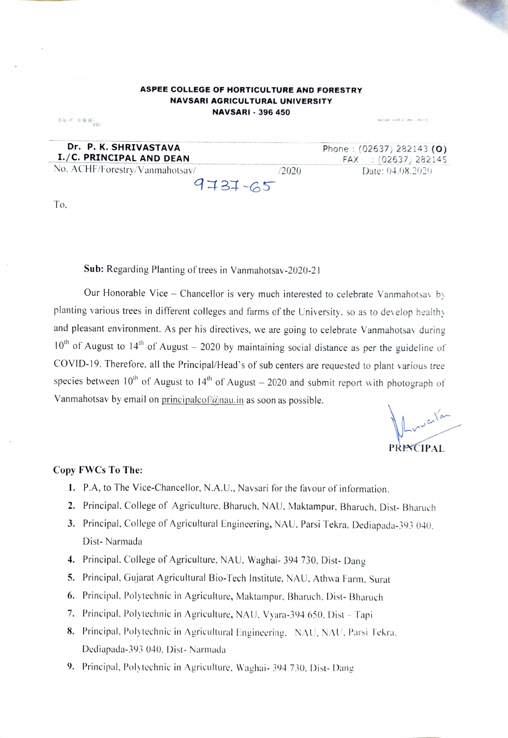## ASPEE COLLEGE OF HORTICULTURE AND FORESTRY **NAVSARI AGRICULTURAL UNIVERSITY NAVSARI - 396 450**

| Dr. P. K. SHRIVASTAVA          |        | Phone: $(02637)$ 282143 (O) |
|--------------------------------|--------|-----------------------------|
| I./C. PRINCIPAL AND DEAN       |        | FAX : (02637) 282145        |
| No. ACHF/Forestry/Vanmahotsav/ | (2020) | Date: 04.08.2020            |
| $4737 - 65$                    |        |                             |

 $\label{eq:3.1} \mathcal{S} \widetilde{u} < \mathcal{S} \in \mathbb{R}^2$ 

Sub: Regarding Planting of trees in Vanmahotsav-2020-21

Our Honorable Vice – Chancellor is very much interested to celebrate Vanmahotsay by planting various trees in different colleges and farms of the University, so as to develop healthy and pleasant environment. As per his directives, we are going to celebrate Vanmahotsav during  $10<sup>th</sup>$  of August to  $14<sup>th</sup>$  of August – 2020 by maintaining social distance as per the guideline of COVID-19. Therefore, all the Principal/Head's of sub centers are requested to plant various tree species between  $10^{th}$  of August to  $14^{th}$  of August – 2020 and submit report with photograph of Vanmahotsav by email on principalcof@nau.in as soon as possible.

PRECIPAL

exacts and contact the contact

## Copy FWCs To The:

- 1. P.A, to The Vice-Chancellor, N.A.U., Navsari for the favour of information.
- 2. Principal, College of Agriculture, Bharuch, NAU, Maktampur, Bharuch, Dist-Bharuch
- 3. Principal, College of Agricultural Engineering, NAU, Parsi Tekra, Dediapada-393 040, Dist-Narmada
- 4. Principal, College of Agriculture, NAU, Waghai- 394 730, Dist-Dang
- 5. Principal, Gujarat Agricultural Bio-Tech Institute, NAU, Athwa Farm, Surat
- 6. Principal, Polytechnic in Agriculture, Maktampur, Bharuch, Dist-Bharuch
- 7. Principal, Polytechnic in Agriculture, NAU, Vyara-394 650, Dist Tapi
- 8. Principal, Polytechnic in Agricultural Engineering, NAU, NAU, Parsi Tekra, Dediapada-393 040, Dist- Narmada
- 9. Principal, Polytechnic in Agriculture, Waghai- 394 730, Dist-Dang